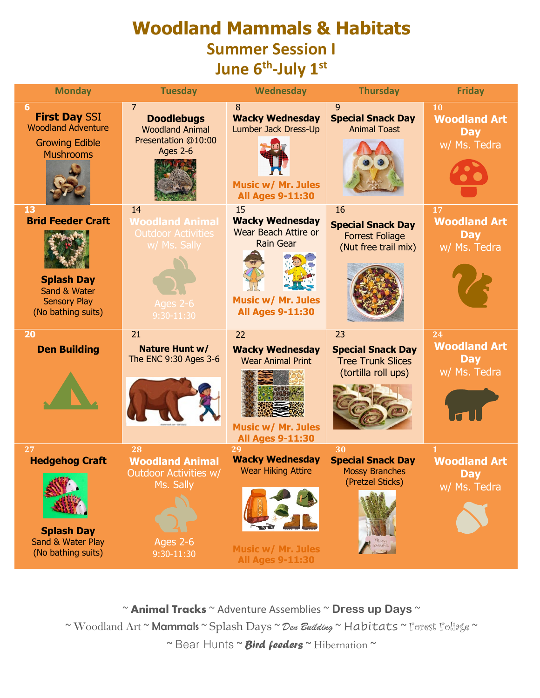## **Woodland Mammals & Habitats Summer Session I**  June 6<sup>th</sup>-July 1<sup>st</sup>

| <b>Monday</b>                                                                                                    | <b>Tuesday</b>                                                                                          | Wednesday                                                                                                                                                          | <b>Thursday</b>                                                                   | <b>Friday</b>                                                     |
|------------------------------------------------------------------------------------------------------------------|---------------------------------------------------------------------------------------------------------|--------------------------------------------------------------------------------------------------------------------------------------------------------------------|-----------------------------------------------------------------------------------|-------------------------------------------------------------------|
| 6<br><b>First Day SSI</b><br><b>Woodland Adventure</b><br><b>Growing Edible</b><br><b>Mushrooms</b>              | $\overline{7}$<br><b>Doodlebugs</b><br><b>Woodland Animal</b><br>Presentation @10:00<br><b>Ages 2-6</b> | 8<br><b>Wacky Wednesday</b><br>Lumber Jack Dress-Up<br><b>Music w/ Mr. Jules</b><br><b>All Ages 9-11:30</b>                                                        | 9<br><b>Special Snack Day</b><br><b>Animal Toast</b>                              | 10<br><b>Woodland Art</b><br><b>Day</b><br>w/ Ms. Tedra           |
| 13<br><b>Brid Feeder Craft</b><br><b>Splash Day</b><br>Sand & Water<br><b>Sensory Play</b><br>(No bathing suits) | 14<br><b>Woodland Animal</b><br><b>Outdoor Activities</b><br>w/ Ms. Sally<br>Ages 2-6<br>9:30-11:30     | 15<br><b>Wacky Wednesday</b><br>Wear Beach Attire or<br><b>Rain Gear</b><br><b>Music w/ Mr. Jules</b><br><b>All Ages 9-11:30</b>                                   | 16<br><b>Special Snack Day</b><br><b>Forrest Foliage</b><br>(Nut free trail mix)  | 17<br><b>Woodland Art</b><br><b>Day</b><br>w/ Ms. Tedra           |
| 20<br><b>Den Building</b>                                                                                        | 21<br>Nature Hunt w/<br>The ENC 9:30 Ages 3-6                                                           | 22<br><b>Wacky Wednesday</b><br><b>Wear Animal Print</b>                                                                                                           | 23<br><b>Special Snack Day</b><br><b>Tree Trunk Slices</b><br>(tortilla roll ups) | 24<br><b>Woodland Art</b><br><b>Day</b><br>w/ Ms. Tedra           |
| 27<br><b>Hedgehog Craft</b><br><b>Splash Day</b><br>Sand & Water Play<br>(No bathing suits)                      | 28<br><b>Woodland Animal</b><br><b>Outdoor Activities w/</b><br>Ms. Sally<br>Ages 2-6<br>9:30-11:30     | <b>Music w/ Mr. Jules</b><br><b>All Ages 9-11:30</b><br>29<br><b>Wacky Wednesday</b><br><b>Wear Hiking Attire</b><br>Music w/ Mr. Jules<br><b>All Ages 9-11:30</b> | 30<br><b>Special Snack Day</b><br><b>Mossy Branches</b><br>(Pretzel Sticks)       | $\mathbf{1}$<br><b>Woodland Art</b><br><b>Day</b><br>w/ Ms. Tedra |

~ **Animal Tracks** ~ Adventure Assemblies ~ **Dress up Days** ~

~ Woodland Art ~ Mammals ~ Splash Days ~ *Den Building* ~ Habitats ~ Forest Foliage ~

~ Bear Hunts ~ *Bird feeders* ~ Hibernation ~